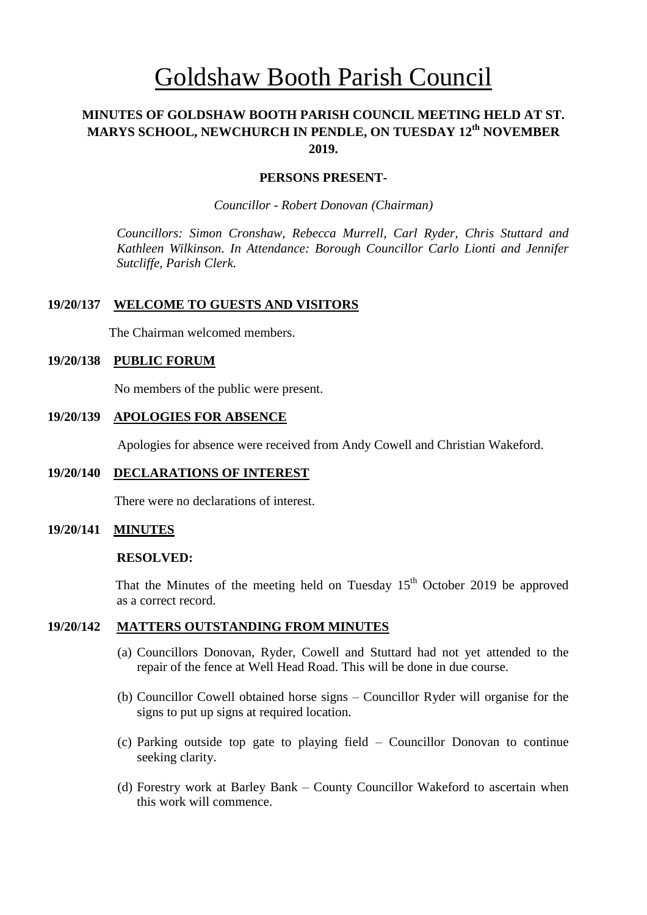# Goldshaw Booth Parish Council

# **MINUTES OF GOLDSHAW BOOTH PARISH COUNCIL MEETING HELD AT ST. MARYS SCHOOL, NEWCHURCH IN PENDLE, ON TUESDAY 12th NOVEMBER 2019.**

## **PERSONS PRESENT-**

*Councillor* - *Robert Donovan (Chairman)*

*Councillors: Simon Cronshaw, Rebecca Murrell, Carl Ryder, Chris Stuttard and Kathleen Wilkinson. In Attendance: Borough Councillor Carlo Lionti and Jennifer Sutcliffe, Parish Clerk.*

# **19/20/137 WELCOME TO GUESTS AND VISITORS**

The Chairman welcomed members.

## **19/20/138 PUBLIC FORUM**

No members of the public were present.

## **19/20/139 APOLOGIES FOR ABSENCE**

Apologies for absence were received from Andy Cowell and Christian Wakeford.

### **19/20/140 DECLARATIONS OF INTEREST**

There were no declarations of interest.

# **19/20/141 MINUTES**

#### **RESOLVED:**

That the Minutes of the meeting held on Tuesday  $15<sup>th</sup>$  October 2019 be approved as a correct record.

## **19/20/142 MATTERS OUTSTANDING FROM MINUTES**

- (a) Councillors Donovan, Ryder, Cowell and Stuttard had not yet attended to the repair of the fence at Well Head Road. This will be done in due course.
- (b) Councillor Cowell obtained horse signs Councillor Ryder will organise for the signs to put up signs at required location.
- (c) Parking outside top gate to playing field Councillor Donovan to continue seeking clarity.
- (d) Forestry work at Barley Bank County Councillor Wakeford to ascertain when this work will commence.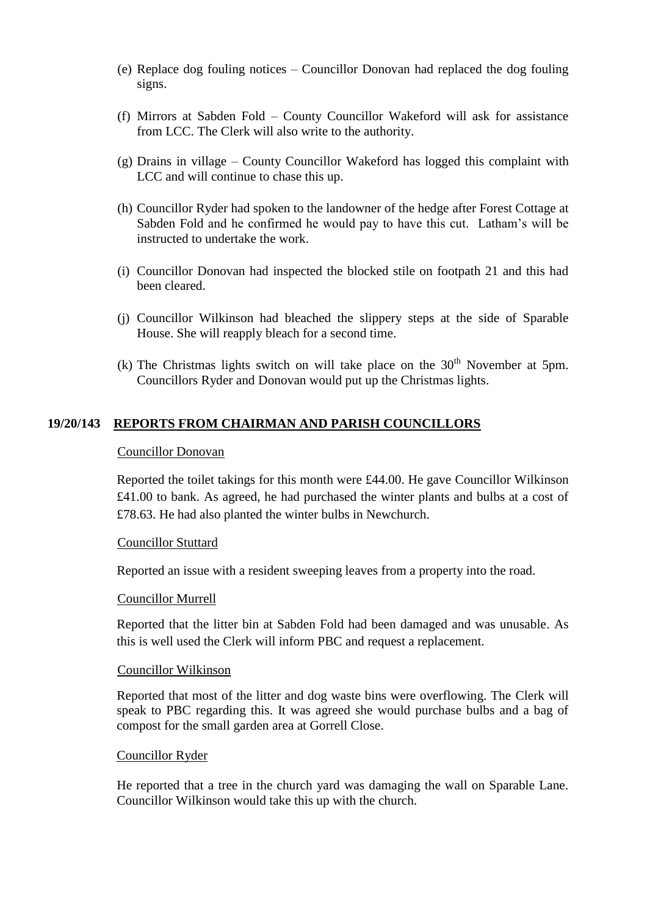- (e) Replace dog fouling notices Councillor Donovan had replaced the dog fouling signs.
- (f) Mirrors at Sabden Fold County Councillor Wakeford will ask for assistance from LCC. The Clerk will also write to the authority.
- (g) Drains in village County Councillor Wakeford has logged this complaint with LCC and will continue to chase this up.
- (h) Councillor Ryder had spoken to the landowner of the hedge after Forest Cottage at Sabden Fold and he confirmed he would pay to have this cut. Latham's will be instructed to undertake the work.
- (i) Councillor Donovan had inspected the blocked stile on footpath 21 and this had been cleared.
- (j) Councillor Wilkinson had bleached the slippery steps at the side of Sparable House. She will reapply bleach for a second time.
- (k) The Christmas lights switch on will take place on the  $30<sup>th</sup>$  November at 5pm. Councillors Ryder and Donovan would put up the Christmas lights.

# **19/20/143 REPORTS FROM CHAIRMAN AND PARISH COUNCILLORS**

## Councillor Donovan

Reported the toilet takings for this month were £44.00. He gave Councillor Wilkinson £41.00 to bank. As agreed, he had purchased the winter plants and bulbs at a cost of £78.63. He had also planted the winter bulbs in Newchurch.

### Councillor Stuttard

Reported an issue with a resident sweeping leaves from a property into the road.

### Councillor Murrell

Reported that the litter bin at Sabden Fold had been damaged and was unusable. As this is well used the Clerk will inform PBC and request a replacement.

#### Councillor Wilkinson

Reported that most of the litter and dog waste bins were overflowing. The Clerk will speak to PBC regarding this. It was agreed she would purchase bulbs and a bag of compost for the small garden area at Gorrell Close.

## Councillor Ryder

He reported that a tree in the church yard was damaging the wall on Sparable Lane. Councillor Wilkinson would take this up with the church.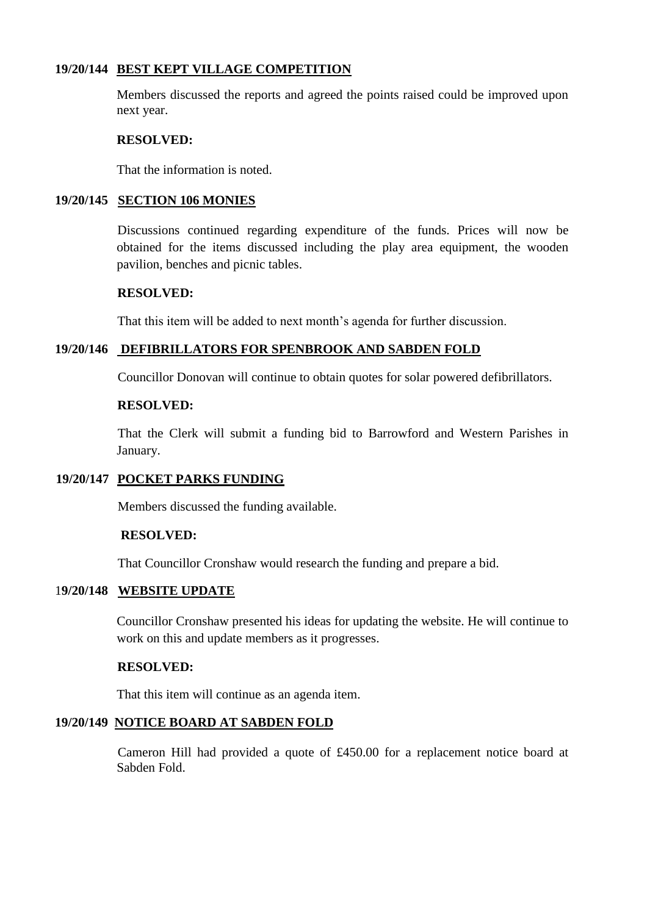# **19/20/144 BEST KEPT VILLAGE COMPETITION**

Members discussed the reports and agreed the points raised could be improved upon next year.

## **RESOLVED:**

That the information is noted.

# **19/20/145 SECTION 106 MONIES**

Discussions continued regarding expenditure of the funds. Prices will now be obtained for the items discussed including the play area equipment, the wooden pavilion, benches and picnic tables.

# **RESOLVED:**

That this item will be added to next month's agenda for further discussion.

# **19/20/146 DEFIBRILLATORS FOR SPENBROOK AND SABDEN FOLD**

Councillor Donovan will continue to obtain quotes for solar powered defibrillators.

## **RESOLVED:**

That the Clerk will submit a funding bid to Barrowford and Western Parishes in January.

### **19/20/147 POCKET PARKS FUNDING**

Members discussed the funding available.

# **RESOLVED:**

That Councillor Cronshaw would research the funding and prepare a bid.

# 1**9/20/148 WEBSITE UPDATE**

Councillor Cronshaw presented his ideas for updating the website. He will continue to work on this and update members as it progresses.

## **RESOLVED:**

That this item will continue as an agenda item.

## **19/20/149 NOTICE BOARD AT SABDEN FOLD**

Cameron Hill had provided a quote of £450.00 for a replacement notice board at Sabden Fold.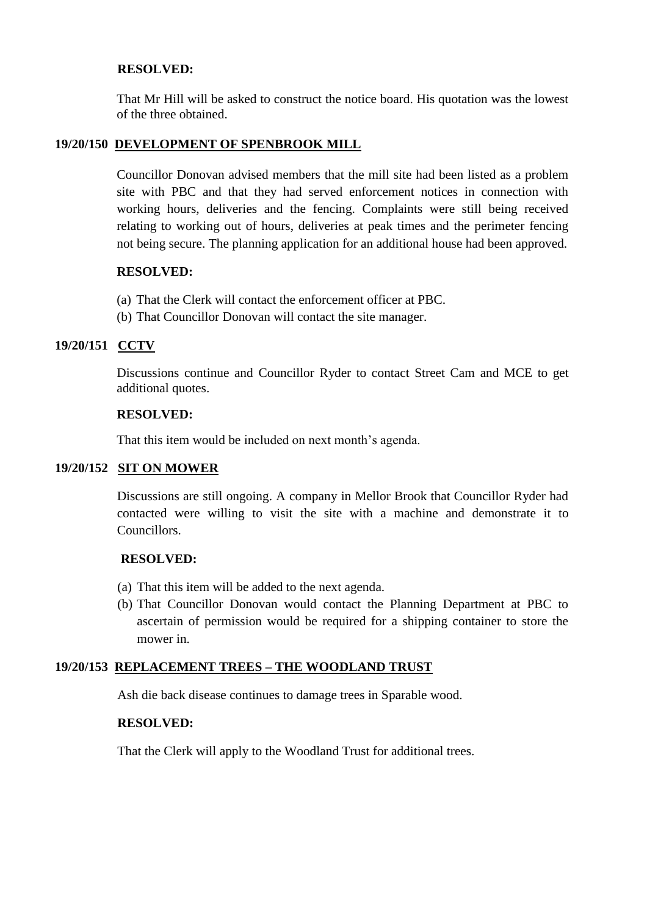# **RESOLVED:**

That Mr Hill will be asked to construct the notice board. His quotation was the lowest of the three obtained.

# **19/20/150 DEVELOPMENT OF SPENBROOK MILL**

Councillor Donovan advised members that the mill site had been listed as a problem site with PBC and that they had served enforcement notices in connection with working hours, deliveries and the fencing. Complaints were still being received relating to working out of hours, deliveries at peak times and the perimeter fencing not being secure. The planning application for an additional house had been approved.

# **RESOLVED:**

- (a) That the Clerk will contact the enforcement officer at PBC.
- (b) That Councillor Donovan will contact the site manager.

# **19/20/151 CCTV**

Discussions continue and Councillor Ryder to contact Street Cam and MCE to get additional quotes.

## **RESOLVED:**

That this item would be included on next month's agenda.

# **19/20/152 SIT ON MOWER**

Discussions are still ongoing. A company in Mellor Brook that Councillor Ryder had contacted were willing to visit the site with a machine and demonstrate it to Councillors.

# **RESOLVED:**

- (a) That this item will be added to the next agenda.
- (b) That Councillor Donovan would contact the Planning Department at PBC to ascertain of permission would be required for a shipping container to store the mower in.

# **19/20/153 REPLACEMENT TREES – THE WOODLAND TRUST**

Ash die back disease continues to damage trees in Sparable wood.

# **RESOLVED:**

That the Clerk will apply to the Woodland Trust for additional trees.